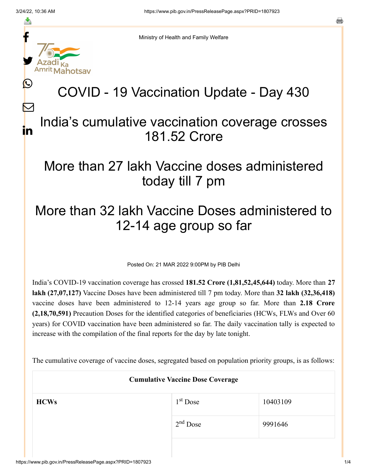f

≛

y.

ahotsav

L

 $\bm{\nabla}$ 

in

o

Ministry of Health and Family Welfare

## COVID - 19 Vaccination Update - Day 430

## India's cumulative vaccination coverage crosses 181.52 Crore

## More than 27 lakh Vaccine doses administered today till 7 pm

## More than 32 lakh Vaccine Doses administered to 12-14 age group so far

Posted On: 21 MAR 2022 9:00PM by PIB Delhi

India's COVID-19 vaccination coverage has crossed **181.52 Crore (1,81,52,45,644)** today. More than **27 lakh (27,07,127)** Vaccine Doses have been administered till 7 pm today. More than **32 lakh (32,36,418)** vaccine doses have been administered to 12-14 years age group so far. More than **2.18 Crore (2,18,70,591)** Precaution Doses for the identified categories of beneficiaries (HCWs, FLWs and Over 60 years) for COVID vaccination have been administered so far. The daily vaccination tally is expected to increase with the compilation of the final reports for the day by late tonight.

The cumulative coverage of vaccine doses, segregated based on population priority groups, is as follows:

| <b>Cumulative Vaccine Dose Coverage</b> |            |          |  |  |  |
|-----------------------------------------|------------|----------|--|--|--|
| <b>HCWs</b>                             | $1st$ Dose | 10403109 |  |  |  |
|                                         | $2nd$ Dose | 9991646  |  |  |  |
|                                         |            |          |  |  |  |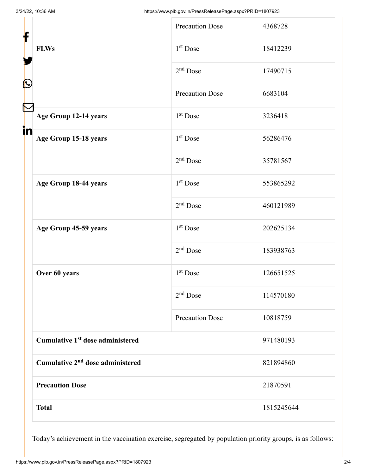| f                                            | <b>Precaution Dose</b> | 4368728    |
|----------------------------------------------|------------------------|------------|
| <b>FLWs</b>                                  | 1 <sup>st</sup> Dose   | 18412239   |
|                                              | $2nd$ Dose             | 17490715   |
| $\mathbf{\Omega}$                            | <b>Precaution Dose</b> | 6683104    |
| Age Group 12-14 years                        | $1st$ Dose             | 3236418    |
| in<br>Age Group 15-18 years                  | $1st$ Dose             | 56286476   |
|                                              | $2nd$ Dose             | 35781567   |
| Age Group 18-44 years                        | $1st$ Dose             | 553865292  |
|                                              | $2nd$ Dose             | 460121989  |
| Age Group 45-59 years                        | 1 <sup>st</sup> Dose   | 202625134  |
|                                              | $2nd$ Dose             | 183938763  |
| Over 60 years                                | $1st$ Dose             | 126651525  |
|                                              | $2nd$ Dose             | 114570180  |
|                                              | <b>Precaution Dose</b> | 10818759   |
| Cumulative 1 <sup>st</sup> dose administered |                        | 971480193  |
| Cumulative 2 <sup>nd</sup> dose administered |                        | 821894860  |
| <b>Precaution Dose</b>                       |                        | 21870591   |
| <b>Total</b>                                 |                        | 1815245644 |

Today's achievement in the vaccination exercise, segregated by population priority groups, is as follows: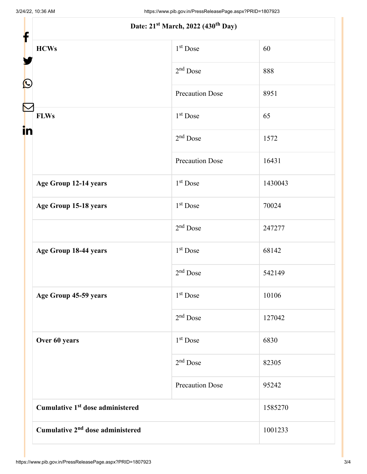|                   | Date: 21 <sup>st</sup> March, 2022 (430 <sup>th</sup> Day) |                        |         |
|-------------------|------------------------------------------------------------|------------------------|---------|
| f                 |                                                            |                        |         |
|                   | <b>HCWs</b>                                                | $1st$ Dose             | 60      |
| $\mathbf{\Omega}$ |                                                            | $2nd$ Dose             | 888     |
|                   |                                                            | <b>Precaution Dose</b> | 8951    |
| in                | <b>FLWs</b>                                                | 1 <sup>st</sup> Dose   | 65      |
|                   |                                                            | $2nd$ Dose             | 1572    |
|                   |                                                            | <b>Precaution Dose</b> | 16431   |
|                   | Age Group 12-14 years                                      | $1st$ Dose             | 1430043 |
|                   | Age Group 15-18 years                                      | $1st$ Dose             | 70024   |
|                   |                                                            | $2nd$ Dose             | 247277  |
|                   | Age Group 18-44 years                                      | $1st$ Dose             | 68142   |
|                   |                                                            | $2nd$ Dose             | 542149  |
|                   | Age Group 45-59 years                                      | $1st$ Dose             | 10106   |
|                   |                                                            | $2nd$ Dose             | 127042  |
|                   | Over 60 years                                              | 1 <sup>st</sup> Dose   | 6830    |
|                   |                                                            | $2nd$ Dose             | 82305   |
|                   |                                                            | <b>Precaution Dose</b> | 95242   |
|                   | Cumulative 1 <sup>st</sup> dose administered               |                        | 1585270 |
|                   | Cumulative 2 <sup>nd</sup> dose administered               |                        | 1001233 |